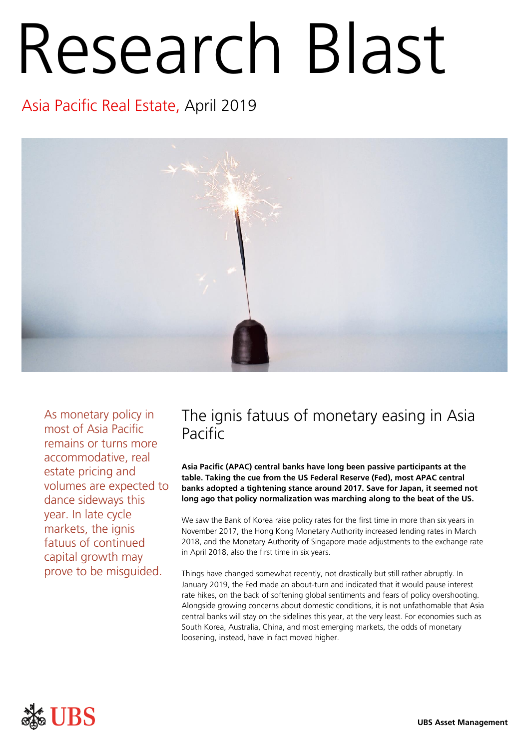# Research Blast

## Asia Pacific Real Estate, April 2019



As monetary policy in most of Asia Pacific remains or turns more accommodative, real estate pricing and volumes are expected to dance sideways this year. In late cycle markets, the ignis fatuus of continued capital growth may prove to be misguided.

### The ignis fatuus of monetary easing in Asia Pacific

**Asia Pacific (APAC) central banks have long been passive participants at the table. Taking the cue from the US Federal Reserve (Fed), most APAC central banks adopted a tightening stance around 2017. Save for Japan, it seemed not long ago that policy normalization was marching along to the beat of the US.**

We saw the Bank of Korea raise policy rates for the first time in more than six years in November 2017, the Hong Kong Monetary Authority increased lending rates in March 2018, and the Monetary Authority of Singapore made adjustments to the exchange rate in April 2018, also the first time in six years.

Things have changed somewhat recently, not drastically but still rather abruptly. In January 2019, the Fed made an about-turn and indicated that it would pause interest rate hikes, on the back of softening global sentiments and fears of policy overshooting. Alongside growing concerns about domestic conditions, it is not unfathomable that Asia central banks will stay on the sidelines this year, at the very least. For economies such as South Korea, Australia, China, and most emerging markets, the odds of monetary loosening, instead, have in fact moved higher.

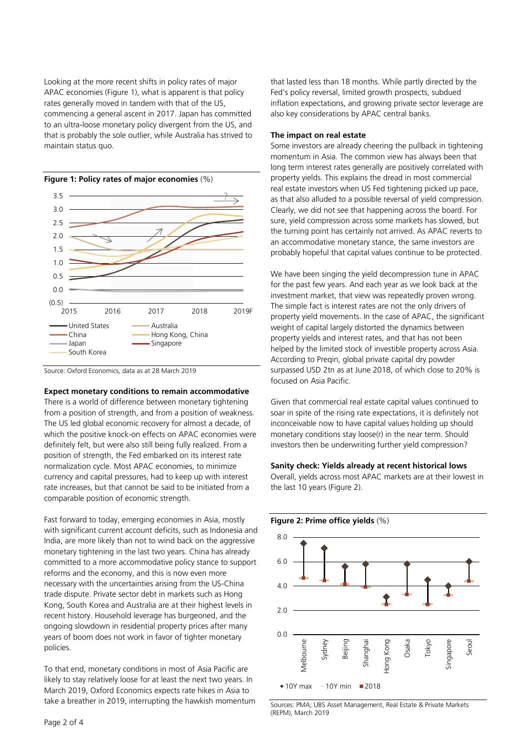Looking at the more recent shifts in policy rates of major APAC economies (Figure 1), what is apparent is that policy rates generally moved in tandem with that of the US, commencing a general ascent in 2017. Japan has committed to an ultra-loose monetary policy divergent from the US, and that is probably the sole outlier, while Australia has strived to maintain status quo.



Source: Oxford Economics, data as at 28 March 2019

#### **Expect monetary conditions to remain accommodative**

There is a world of difference between monetary tightening from a position of strength, and from a position of weakness. The US led global economic recovery for almost a decade, of which the positive knock-on effects on APAC economies were definitely felt, but were also still being fully realized. From a position of strength, the Fed embarked on its interest rate normalization cycle. Most APAC economies, to minimize currency and capital pressures, had to keep up with interest rate increases, but that cannot be said to be initiated from a comparable position of economic strength.

Fast forward to today, emerging economies in Asia, mostly with significant current account deficits, such as Indonesia and India, are more likely than not to wind back on the aggressive monetary tightening in the last two years. China has already committed to a more accommodative policy stance to support reforms and the economy, and this is now even more necessary with the uncertainties arising from the US-China trade dispute. Private sector debt in markets such as Hong Kong, South Korea and Australia are at their highest levels in recent history. Household leverage has burgeoned, and the ongoing slowdown in residential property prices after many years of boom does not work in favor of tighter monetary policies.

To that end, monetary conditions in most of Asia Pacific are likely to stay relatively loose for at least the next two years. In March 2019, Oxford Economics expects rate hikes in Asia to take a breather in 2019, interrupting the hawkish momentum that lasted less than 18 months. While partly directed by the Fed's policy reversal, limited growth prospects, subdued inflation expectations, and growing private sector leverage are also key considerations by APAC central banks.

#### **The impact on real estate**

Some investors are already cheering the pullback in tightening momentum in Asia. The common view has always been that long term interest rates generally are positively correlated with property yields. This explains the dread in most commercial real estate investors when US Fed tightening picked up pace, as that also alluded to a possible reversal of yield compression. Clearly, we did not see that happening across the board. For sure, yield compression across some markets has slowed, but the turning point has certainly not arrived. As APAC reverts to an accommodative monetary stance, the same investors are probably hopeful that capital values continue to be protected.

We have been singing the yield decompression tune in APAC for the past few years. And each year as we look back at the investment market, that view was repeatedly proven wrong. The simple fact is interest rates are not the only drivers of property yield movements. In the case of APAC, the significant weight of capital largely distorted the dynamics between property yields and interest rates, and that has not been helped by the limited stock of investible property across Asia. According to Preqin, global private capital dry powder surpassed USD 2tn as at June 2018, of which close to 20% is focused on Asia Pacific.

Given that commercial real estate capital values continued to soar in spite of the rising rate expectations, it is definitely not inconceivable now to have capital values holding up should monetary conditions stay loose(r) in the near term. Should investors then be underwriting further yield compression?

#### **Sanity check: Yields already at recent historical lows**

Overall, yields across most APAC markets are at their lowest in the last 10 years (Figure 2).



Sources: PMA; UBS Asset Management, Real Estate & Private Markets (REPM), March 2019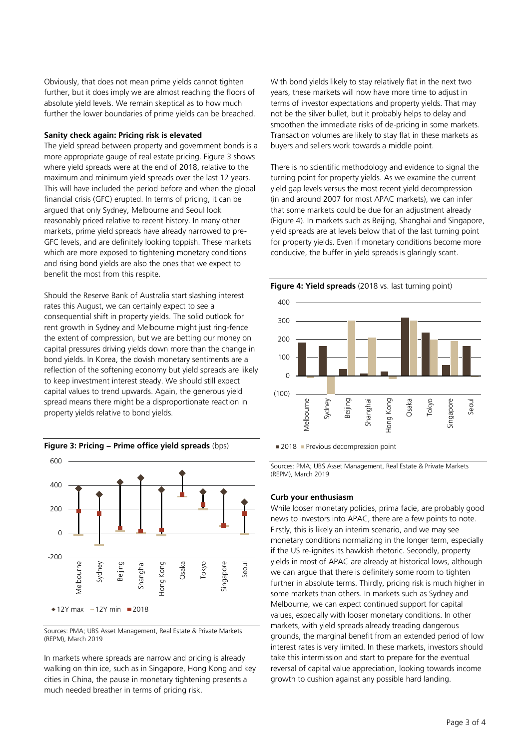Obviously, that does not mean prime yields cannot tighten further, but it does imply we are almost reaching the floors of absolute yield levels. We remain skeptical as to how much further the lower boundaries of prime yields can be breached.

#### **Sanity check again: Pricing risk is elevated**

The yield spread between property and government bonds is a more appropriate gauge of real estate pricing. Figure 3 shows where yield spreads were at the end of 2018, relative to the maximum and minimum yield spreads over the last 12 years. This will have included the period before and when the global financial crisis (GFC) erupted. In terms of pricing, it can be argued that only Sydney, Melbourne and Seoul look reasonably priced relative to recent history. In many other markets, prime yield spreads have already narrowed to pre-GFC levels, and are definitely looking toppish. These markets which are more exposed to tightening monetary conditions and rising bond yields are also the ones that we expect to benefit the most from this respite.

Should the Reserve Bank of Australia start slashing interest rates this August, we can certainly expect to see a consequential shift in property yields. The solid outlook for rent growth in Sydney and Melbourne might just ring-fence the extent of compression, but we are betting our money on capital pressures driving yields down more than the change in bond yields. In Korea, the dovish monetary sentiments are a reflection of the softening economy but yield spreads are likely to keep investment interest steady. We should still expect capital values to trend upwards. Again, the generous yield spread means there might be a disproportionate reaction in property yields relative to bond yields.



Sources: PMA; UBS Asset Management, Real Estate & Private Markets (REPM), March 2019

In markets where spreads are narrow and pricing is already walking on thin ice, such as in Singapore, Hong Kong and key cities in China, the pause in monetary tightening presents a much needed breather in terms of pricing risk.

With bond yields likely to stay relatively flat in the next two years, these markets will now have more time to adjust in terms of investor expectations and property yields. That may not be the silver bullet, but it probably helps to delay and smoothen the immediate risks of de-pricing in some markets. Transaction volumes are likely to stay flat in these markets as buyers and sellers work towards a middle point.

There is no scientific methodology and evidence to signal the turning point for property yields. As we examine the current yield gap levels versus the most recent yield decompression (in and around 2007 for most APAC markets), we can infer that some markets could be due for an adjustment already (Figure 4). In markets such as Beijing, Shanghai and Singapore, yield spreads are at levels below that of the last turning point for property yields. Even if monetary conditions become more conducive, the buffer in yield spreads is glaringly scant.



Sources: PMA; UBS Asset Management, Real Estate & Private Markets (REPM), March 2019

#### **Curb your enthusiasm**

While looser monetary policies, prima facie, are probably good news to investors into APAC, there are a few points to note. Firstly, this is likely an interim scenario, and we may see monetary conditions normalizing in the longer term, especially if the US re-ignites its hawkish rhetoric. Secondly, property yields in most of APAC are already at historical lows, although we can argue that there is definitely some room to tighten further in absolute terms. Thirdly, pricing risk is much higher in some markets than others. In markets such as Sydney and Melbourne, we can expect continued support for capital values, especially with looser monetary conditions. In other markets, with yield spreads already treading dangerous grounds, the marginal benefit from an extended period of low interest rates is very limited. In these markets, investors should take this intermission and start to prepare for the eventual reversal of capital value appreciation, looking towards income growth to cushion against any possible hard landing.